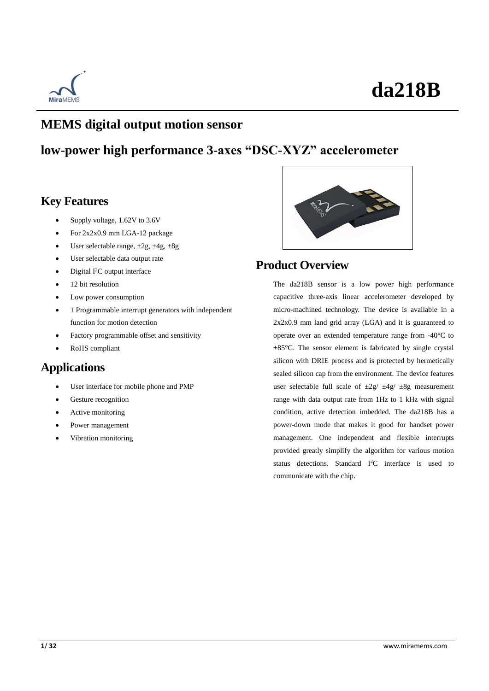

### **MEMS digital output motion sensor**

### **low-power high performance 3-axes "DSC-XYZ" accelerometer**

### **Key Features**

- Supply voltage, 1.62V to 3.6V
- For 2x2x0.9 mm LGA-12 package
- User selectable range,  $\pm 2g$ ,  $\pm 4g$ ,  $\pm 8g$
- User selectable data output rate
- Digital I<sup>2</sup>C output interface
- 12 bit resolution
- Low power consumption
- 1 Programmable interrupt generators with independent function for motion detection
- Factory programmable offset and sensitivity
- RoHS compliant

### **Applications**

- User interface for mobile phone and PMP
- Gesture recognition
- Active monitoring
- Power management
- Vibration monitoring



### **Product Overview**

The da218B sensor is a low power high performance capacitive three-axis linear accelerometer developed by micro-machined technology. The device is available in a 2x2x0.9 mm land grid array (LGA) and it is guaranteed to operate over an extended temperature range from -40  $\mathbb C$  to +85°C. The sensor element is fabricated by single crystal silicon with DRIE process and is protected by hermetically sealed silicon cap from the environment. The device features user selectable full scale of  $\pm 2g / \pm 4g / \pm 8g$  measurement range with data output rate from 1Hz to 1 kHz with signal condition, active detection imbedded. The da218B has a power-down mode that makes it good for handset power management. One independent and flexible interrupts provided greatly simplify the algorithm for various motion status detections. Standard I<sup>2</sup>C interface is used to communicate with the chip.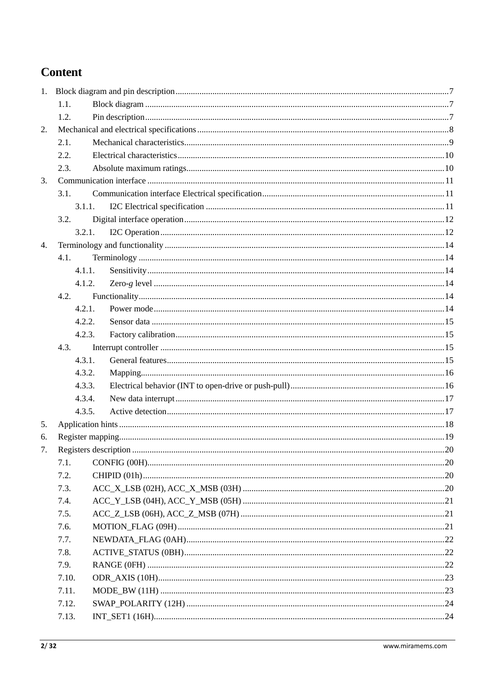### **Content**

|    | 1.1.   |  |
|----|--------|--|
|    | 1.2.   |  |
| 2. |        |  |
|    | 2.1.   |  |
|    | 2.2.   |  |
|    | 2.3.   |  |
| 3. |        |  |
|    | 3.1.   |  |
|    | 3.1.1. |  |
|    | 3.2.   |  |
|    | 3.2.1. |  |
| 4. |        |  |
|    | 4.1.   |  |
|    | 4.1.1. |  |
|    | 4.1.2. |  |
|    | 4.2.   |  |
|    | 4.2.1. |  |
|    | 4.2.2. |  |
|    | 4.2.3. |  |
|    | 4.3.   |  |
|    | 4.3.1. |  |
|    | 4.3.2. |  |
|    | 4.3.3. |  |
|    | 4.3.4. |  |
|    | 4.3.5. |  |
| 5. |        |  |
| 6. |        |  |
| 7. |        |  |
|    | 7.1.   |  |
|    | 7.2.   |  |
|    | 7.3.   |  |
|    | 7.4.   |  |
|    | 7.5.   |  |
|    | 7.6.   |  |
|    | 7.7.   |  |
|    | 7.8.   |  |
|    | 7.9.   |  |
|    | 7.10.  |  |
|    | 7.11.  |  |
|    | 7.12.  |  |
|    | 7.13.  |  |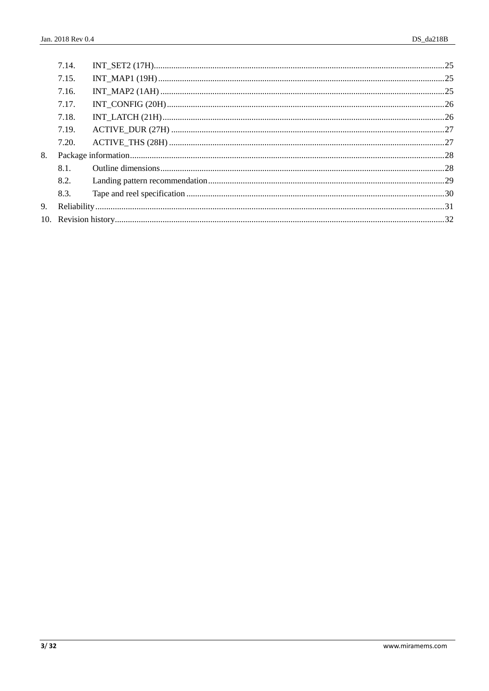|    | 7.14. |  |  |
|----|-------|--|--|
|    | 7.15. |  |  |
|    | 7.16. |  |  |
|    | 7.17. |  |  |
|    | 7.18. |  |  |
|    | 7.19. |  |  |
|    | 7.20. |  |  |
| 8. |       |  |  |
|    | 8.1.  |  |  |
|    | 8.2.  |  |  |
|    | 8.3.  |  |  |
| 9. |       |  |  |
|    |       |  |  |
|    |       |  |  |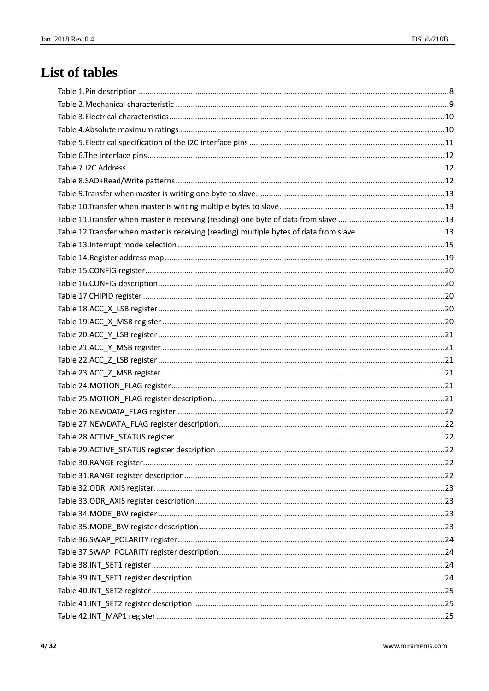## List of tables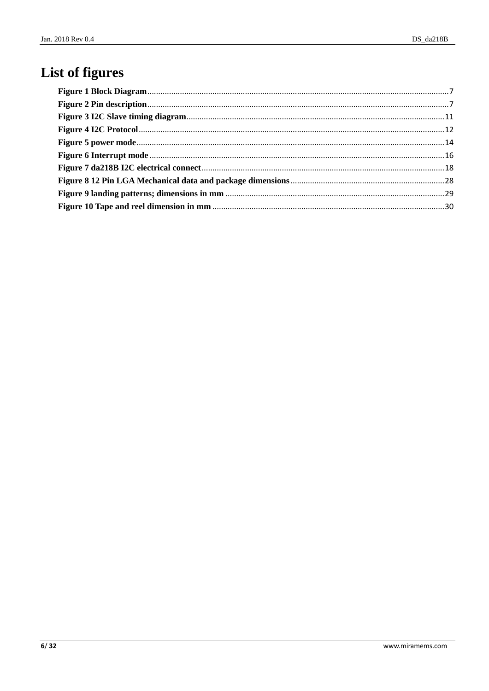## List of figures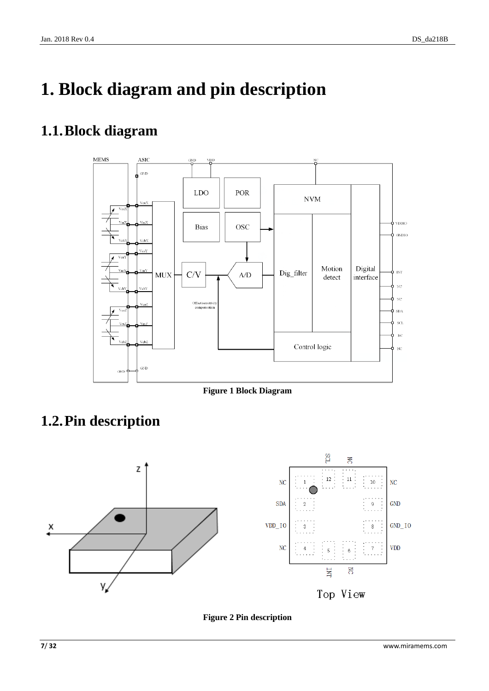# <span id="page-6-0"></span>**1. Block diagram and pin description**

## <span id="page-6-1"></span>**1.1.Block diagram**



**Figure 1 Block Diagram**

## <span id="page-6-3"></span><span id="page-6-2"></span>**1.2.Pin description**



<span id="page-6-4"></span>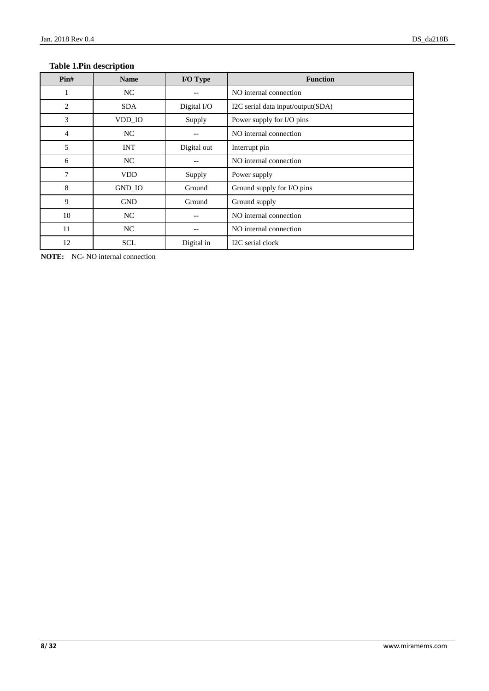### <span id="page-7-0"></span>**Table 1.Pin description**

| $\text{Pin}\#$ | <b>Name</b> | I/O Type    | <b>Function</b>                   |  |
|----------------|-------------|-------------|-----------------------------------|--|
| 1              | NC          |             | NO internal connection            |  |
| $\overline{2}$ | <b>SDA</b>  | Digital I/O | I2C serial data input/output(SDA) |  |
| 3              | VDD_IO      | Supply      | Power supply for I/O pins         |  |
| 4              | NC          |             | NO internal connection            |  |
| 5              | <b>INT</b>  | Digital out | Interrupt pin                     |  |
| 6              | NC          |             | NO internal connection            |  |
| 7              | <b>VDD</b>  | Supply      | Power supply                      |  |
| 8              | GND_IO      | Ground      | Ground supply for I/O pins        |  |
| 9              | <b>GND</b>  | Ground      | Ground supply                     |  |
| 10             | NC          |             | NO internal connection            |  |
| 11             | NC          |             | NO internal connection            |  |
| 12             | <b>SCL</b>  | Digital in  | I2C serial clock                  |  |

**NOTE:** NC- NO internal connection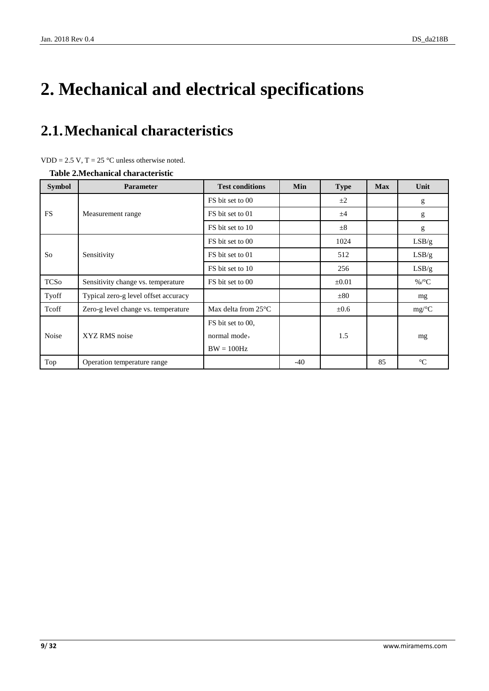# **2. Mechanical and electrical specifications**

## <span id="page-8-0"></span>**2.1.Mechanical characteristics**

|  | $VDD = 2.5 V$ , T = 25 °C unless otherwise noted. |  |  |  |  |
|--|---------------------------------------------------|--|--|--|--|
|--|---------------------------------------------------|--|--|--|--|

<span id="page-8-1"></span>**Table 2.Mechanical characteristic**

| <b>Symbol</b> | <b>Parameter</b>                     | <b>Test conditions</b>          | Min   | <b>Type</b> | <b>Max</b> | Unit             |
|---------------|--------------------------------------|---------------------------------|-------|-------------|------------|------------------|
|               |                                      | FS bit set to 00                |       | $\pm 2$     |            | g                |
| <b>FS</b>     | Measurement range                    | FS bit set to 01                |       | ±4          |            | g                |
|               |                                      | FS bit set to 10                |       | $\pm$ 8     |            | g                |
|               |                                      | FS bit set to 00                |       | 1024        |            | LSB/g            |
| So            | Sensitivity                          | FS bit set to 01                |       | 512         |            | LSB/g            |
|               |                                      | FS bit set to 10                |       | 256         |            | LSB/g            |
| <b>TCSo</b>   | Sensitivity change vs. temperature   | FS bit set to 00                |       | $\pm 0.01$  |            | %/ $\mathcal{C}$ |
| Tyoff         | Typical zero-g level offset accuracy |                                 |       | ±80         |            | mg               |
| Tcoff         | Zero-g level change vs. temperature  | Max delta from $25 \, \text{C}$ |       | $\pm 0.6$   |            | mg/C             |
|               |                                      | FS bit set to 00,               |       |             |            |                  |
| Noise         | XYZ RMS noise                        | normal mode,                    |       | 1.5         |            | mg               |
|               |                                      | $BW = 100 Hz$                   |       |             |            |                  |
| Top           | Operation temperature range          |                                 | $-40$ |             | 85         | $\mathfrak{C}$   |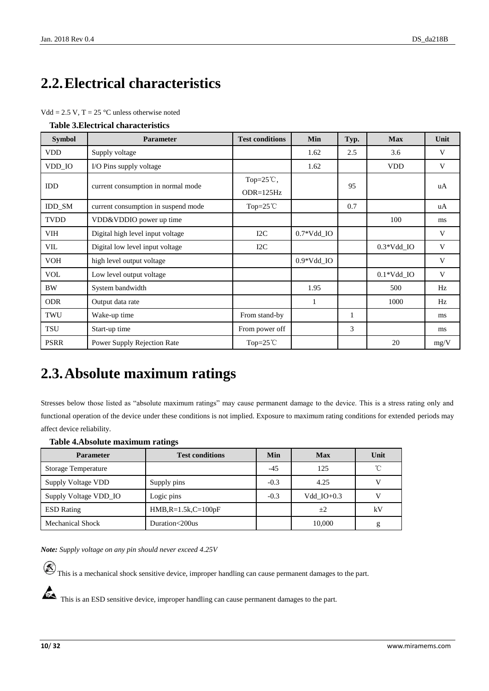## <span id="page-9-0"></span>**2.2.Electrical characteristics**

|  | $Vdd = 2.5 V$ , T = 25 °C unless otherwise noted |
|--|--------------------------------------------------|
|--|--------------------------------------------------|

<span id="page-9-2"></span>

| <b>Table 3. Electrical characteristics</b> |  |
|--------------------------------------------|--|
|--------------------------------------------|--|

| <b>Symbol</b> | <b>Parameter</b>                    | <b>Test conditions</b>              | Min                     | Typ. | <b>Max</b>              | Unit |
|---------------|-------------------------------------|-------------------------------------|-------------------------|------|-------------------------|------|
| <b>VDD</b>    | Supply voltage                      |                                     | 1.62                    | 2.5  | 3.6                     | V    |
| VDD_IO        | I/O Pins supply voltage             |                                     | 1.62                    |      | <b>VDD</b>              | V    |
| <b>IDD</b>    | current consumption in normal mode  | Top= $25^{\circ}$ C,<br>$ODR=125Hz$ |                         | 95   |                         | uA   |
| <b>IDD SM</b> | current consumption in suspend mode | Top= $25^{\circ}$ C                 |                         | 0.7  |                         | uA   |
| <b>TVDD</b>   | VDD&VDDIO power up time             |                                     |                         |      | 100                     | ms   |
| VIH           | Digital high level input voltage    | I2C                                 | $0.7*Vdd$ <sub>IO</sub> |      |                         | V    |
| VIL           | Digital low level input voltage     | I2C                                 |                         |      | $0.3*Vdd$ IO            | V    |
| <b>VOH</b>    | high level output voltage           |                                     | $0.9*Vdd$ IO            |      |                         | V    |
| <b>VOL</b>    | Low level output voltage            |                                     |                         |      | $0.1*Vdd$ <sub>IO</sub> | V    |
| <b>BW</b>     | System bandwidth                    |                                     | 1.95                    |      | 500                     | Hz   |
| <b>ODR</b>    | Output data rate                    |                                     | 1                       |      | 1000                    | Hz   |
| TWU           | Wake-up time                        | From stand-by                       |                         | 1    |                         | ms   |
| TSU           | Start-up time                       | From power off                      |                         | 3    |                         | ms   |
| <b>PSRR</b>   | Power Supply Rejection Rate         | Top= $25^{\circ}$ C                 |                         |      | 20                      | mg/V |

### <span id="page-9-1"></span>**2.3.Absolute maximum ratings**

Stresses below those listed as "absolute maximum ratings" may cause permanent damage to the device. This is a stress rating only and functional operation of the device under these conditions is not implied. Exposure to maximum rating conditions for extended periods may affect device reliability.

#### <span id="page-9-3"></span>**Table 4.Absolute maximum ratings**

| <b>Parameter</b>           | <b>Test conditions</b><br>Min |        | <b>Max</b>   | Unit         |
|----------------------------|-------------------------------|--------|--------------|--------------|
| <b>Storage Temperature</b> |                               | $-4.5$ | 125          | $^{\circ}$ C |
| Supply Voltage VDD         | Supply pins                   | $-0.3$ | 4.25         | V            |
| Supply Voltage VDD_IO      | Logic pins                    | $-0.3$ | Vdd $IO+0.3$ | v            |
| <b>ESD</b> Rating          | $HMB, R=1.5k, C=100pF$        |        | $+2$         | kV           |
| <b>Mechanical Shock</b>    | Duration<200us                |        | 10,000       | g            |

*Note: Supply voltage on any pin should never exceed 4.25V*

 $\circledR$  This is a mechanical shock sensitive device, improper handling can cause permanent damages to the part.

This is an ESD sensitive device, improper handling can cause permanent damages to the part.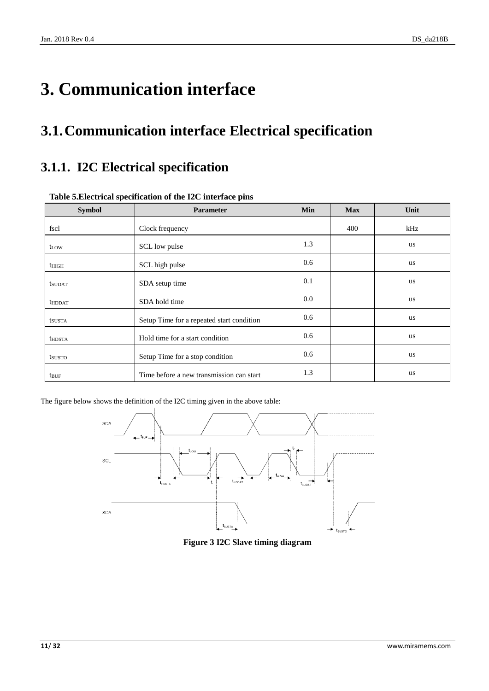# <span id="page-10-0"></span>**3. Communication interface**

## <span id="page-10-1"></span>**3.1.Communication interface Electrical specification**

### <span id="page-10-2"></span>**3.1.1. I2C Electrical specification**

| <b>Symbol</b>    | Parameter                                 | Min | <b>Max</b> | Unit      |
|------------------|-------------------------------------------|-----|------------|-----------|
| fscl             | Clock frequency                           |     | 400        | kHz       |
| t <sub>LOW</sub> | SCL low pulse                             | 1.3 |            | us        |
| $t_{\rm HIGH}$   | SCL high pulse                            | 0.6 |            | us        |
| <b>t</b> sudat   | SDA setup time                            | 0.1 |            | <b>us</b> |
| <b>thddat</b>    | SDA hold time                             | 0.0 |            | <b>us</b> |
| tsusta           | Setup Time for a repeated start condition | 0.6 |            | <b>us</b> |
| <b>thDSTA</b>    | Hold time for a start condition           | 0.6 |            | <b>us</b> |
| tsusto           | Setup Time for a stop condition           | 0.6 |            | us        |
| <b>t</b> buf     | Time before a new transmission can start  | 1.3 |            | us        |

### <span id="page-10-3"></span>**Table 5.Electrical specification of the I2C interface pins**

<span id="page-10-4"></span>The figure below shows the definition of the I2C timing given in the above table:



**Figure 3 I2C Slave timing diagram**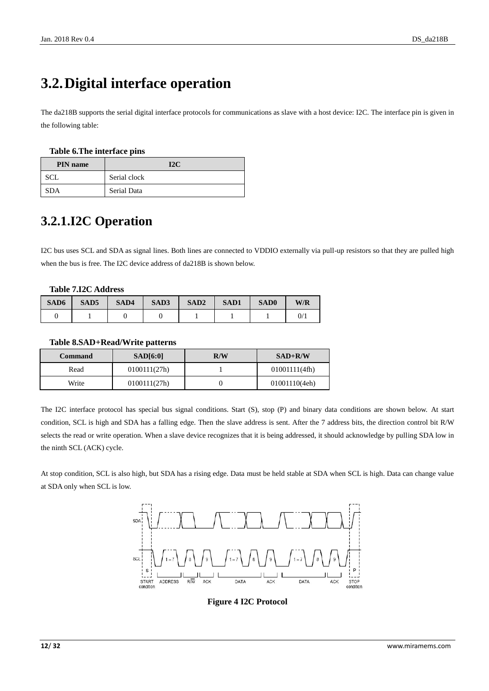## <span id="page-11-0"></span>**3.2.Digital interface operation**

The da218B supports the serial digital interface protocols for communications as slave with a host device: I2C. The interface pin is given in the following table:

#### <span id="page-11-2"></span>**Table 6.The interface pins**

| <b>PIN</b> name | 12 <sub>C</sub> |
|-----------------|-----------------|
| SCL.            | Serial clock    |
| <b>SDA</b>      | Serial Data     |

### <span id="page-11-1"></span>**3.2.1.I2C Operation**

I2C bus uses SCL and SDA as signal lines. Both lines are connected to VDDIO externally via pull-up resistors so that they are pulled high when the bus is free. The I2C device address of da218B is shown below.

#### <span id="page-11-3"></span>**Table 7.I2C Address**

| SAD6 | SAD <sub>5</sub> | SAD4 | SAD3 | SAD <sub>2</sub> | <b>SAD1</b> | SAD <sub>0</sub> | W/R |
|------|------------------|------|------|------------------|-------------|------------------|-----|
|      |                  |      |      |                  |             |                  | 0/  |

#### <span id="page-11-4"></span>**Table 8.SAD+Read/Write patterns**

| Command | SAD[6:0]     | R/W | $SAD+R/W$     |
|---------|--------------|-----|---------------|
| Read    | 0100111(27h) |     | 01001111(4fh) |
| Write   | 0100111(27h) |     | 01001110(4eh) |

The I2C interface protocol has special bus signal conditions. Start (S), stop (P) and binary data conditions are shown below. At start condition, SCL is high and SDA has a falling edge. Then the slave address is sent. After the 7 address bits, the direction control bit R/W selects the read or write operation. When a slave device recognizes that it is being addressed, it should acknowledge by pulling SDA low in the ninth SCL (ACK) cycle.

<span id="page-11-5"></span>At stop condition, SCL is also high, but SDA has a rising edge. Data must be held stable at SDA when SCL is high. Data can change value at SDA only when SCL is low.



**Figure 4 I2C Protocol**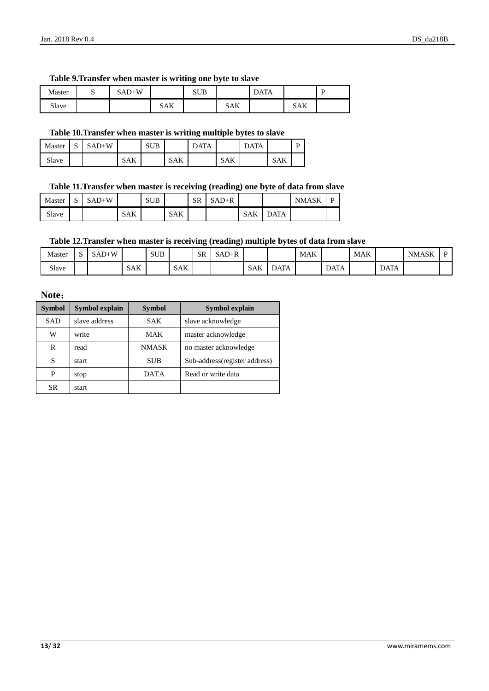### <span id="page-12-0"></span>**Table 9.Transfer when master is writing one byte to slave**

| Master | ັ | $SAD+W$ |     | <b>SUB</b> |     | <b>DATA</b> |     | $\mathbf{r}$ |
|--------|---|---------|-----|------------|-----|-------------|-----|--------------|
| Slave  |   |         | SAK |            | SAK |             | SAK |              |

### <span id="page-12-1"></span>**Table 10.Transfer when master is writing multiple bytes to slave**

| Master | $\sim$<br>ມ | $SAD+W$ |            | <b>SUB</b> |            | <b>DATA</b> |            | <b>DATA</b> |            | D |
|--------|-------------|---------|------------|------------|------------|-------------|------------|-------------|------------|---|
| Slave  |             |         | <b>SAK</b> |            | <b>SAK</b> |             | <b>SAK</b> |             | <b>SAK</b> |   |

### <span id="page-12-2"></span>**Table 11.Transfer when master is receiving (reading) one byte of data from slave**

| Master | $\sim$<br>د، | $SAD+W$ |     | <b>SUB</b> |            | <b>SR</b> | $SAD+R$ |            |             | <b>NMASK</b> | D |
|--------|--------------|---------|-----|------------|------------|-----------|---------|------------|-------------|--------------|---|
| Slave  |              |         | SAK |            | <b>SAK</b> |           |         | <b>SAK</b> | <b>DATA</b> |              |   |

### <span id="page-12-3"></span>**Table 12.Transfer when master is receiving (reading) multiple bytes of data from slave**

| Master | $\tilde{\phantom{a}}$ | $SAD+W$ |            | <b>SUB</b> |            | SR | $SAD+R$ |            |             | <b>MAK</b> |             | <b>MAK</b> |             | <b>NMASK</b> |  |
|--------|-----------------------|---------|------------|------------|------------|----|---------|------------|-------------|------------|-------------|------------|-------------|--------------|--|
| Slave  |                       |         | <b>SAK</b> |            | <b>SAK</b> |    |         | <b>SAK</b> | <b>DATA</b> |            | <b>DATA</b> |            | <b>DATA</b> |              |  |

### **Note**:

| <b>Symbol</b> | <b>Symbol explain</b> | <b>Symbol</b> | Symbol explain                |
|---------------|-----------------------|---------------|-------------------------------|
| <b>SAD</b>    | slave address         | <b>SAK</b>    | slave acknowledge             |
| W             | write                 | MAK           | master acknowledge            |
| R             | read                  | <b>NMASK</b>  | no master acknowledge         |
| S             | start                 | <b>SUB</b>    | Sub-address(register address) |
| P             | stop                  | <b>DATA</b>   | Read or write data            |
| <b>SR</b>     | start                 |               |                               |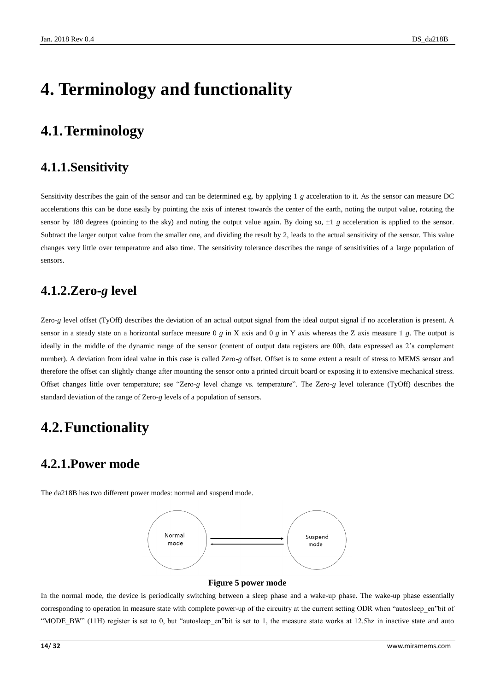# <span id="page-13-0"></span>**4. Terminology and functionality**

## <span id="page-13-1"></span>**4.1.Terminology**

### <span id="page-13-2"></span>**4.1.1.Sensitivity**

Sensitivity describes the gain of the sensor and can be determined e.g. by applying 1 *g* acceleration to it. As the sensor can measure DC accelerations this can be done easily by pointing the axis of interest towards the center of the earth, noting the output value, rotating the sensor by 180 degrees (pointing to the sky) and noting the output value again. By doing so,  $\pm 1$  *g* acceleration is applied to the sensor. Subtract the larger output value from the smaller one, and dividing the result by 2, leads to the actual sensitivity of the sensor. This value changes very little over temperature and also time. The sensitivity tolerance describes the range of sensitivities of a large population of sensors.

### <span id="page-13-3"></span>**4.1.2.Zero-***g* **level**

Zero-*g* level offset (TyOff) describes the deviation of an actual output signal from the ideal output signal if no acceleration is present. A sensor in a steady state on a horizontal surface measure 0 *g* in X axis and 0 *g* in Y axis whereas the Z axis measure 1 *g*. The output is ideally in the middle of the dynamic range of the sensor (content of output data registers are 00h, data expressed as 2's complement number). A deviation from ideal value in this case is called Zero-*g* offset. Offset is to some extent a result of stress to MEMS sensor and therefore the offset can slightly change after mounting the sensor onto a printed circuit board or exposing it to extensive mechanical stress. Offset changes little over temperature; see "Zero-*g* level change vs. temperature". The Zero-*g* level tolerance (TyOff) describes the standard deviation of the range of Zero-*g* levels of a population of sensors.

### <span id="page-13-4"></span>**4.2.Functionality**

### <span id="page-13-5"></span>**4.2.1.Power mode**

The da218B has two different power modes: normal and suspend mode.



#### **Figure 5 power mode**

<span id="page-13-6"></span>In the normal mode, the device is periodically switching between a sleep phase and a wake-up phase. The wake-up phase essentially corresponding to operation in measure state with complete power-up of the circuitry at the current setting ODR when "autosleep\_en"bit of "MODE\_BW" (11H) register is set to 0, but "autosleep\_en"bit is set to 1, the measure state works at 12.5hz in inactive state and auto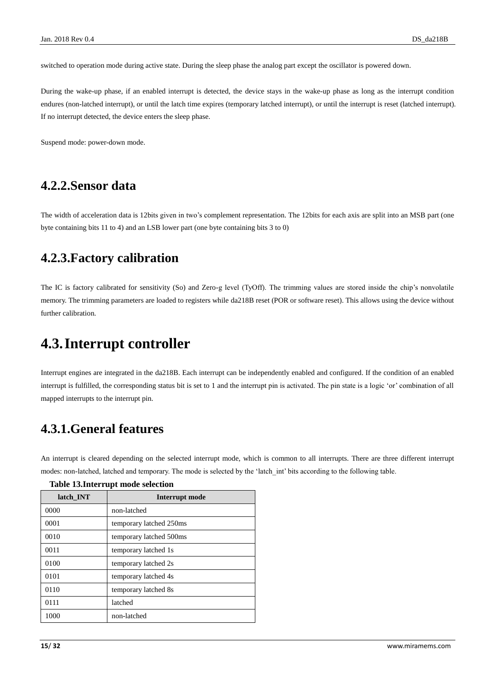switched to operation mode during active state. During the sleep phase the analog part except the oscillator is powered down.

During the wake-up phase, if an enabled interrupt is detected, the device stays in the wake-up phase as long as the interrupt condition endures (non-latched interrupt), or until the latch time expires (temporary latched interrupt), or until the interrupt is reset (latched interrupt). If no interrupt detected, the device enters the sleep phase.

Suspend mode: power-down mode.

### <span id="page-14-0"></span>**4.2.2.Sensor data**

The width of acceleration data is 12bits given in two's complement representation. The 12bits for each axis are split into an MSB part (one byte containing bits 11 to 4) and an LSB lower part (one byte containing bits 3 to 0)

### <span id="page-14-1"></span>**4.2.3.Factory calibration**

The IC is factory calibrated for sensitivity (So) and Zero-g level (TyOff). The trimming values are stored inside the chip's nonvolatile memory. The trimming parameters are loaded to registers while da218B reset (POR or software reset). This allows using the device without further calibration.

### <span id="page-14-2"></span>**4.3.Interrupt controller**

Interrupt engines are integrated in the da218B. Each interrupt can be independently enabled and configured. If the condition of an enabled interrupt is fulfilled, the corresponding status bit is set to 1 and the interrupt pin is activated. The pin state is a logic 'or' combination of all mapped interrupts to the interrupt pin.

### <span id="page-14-3"></span>**4.3.1.General features**

An interrupt is cleared depending on the selected interrupt mode, which is common to all interrupts. There are three different interrupt modes: non-latched, latched and temporary. The mode is selected by the 'latch\_int' bits according to the following table.

| latch INT | Interrupt mode          |
|-----------|-------------------------|
| 0000      | non-latched             |
| 0001      | temporary latched 250ms |
| 0010      | temporary latched 500ms |
| 0011      | temporary latched 1s    |
| 0100      | temporary latched 2s    |
| 0101      | temporary latched 4s    |
| 0110      | temporary latched 8s    |
| 0111      | latched                 |
| 1000      | non-latched             |

#### <span id="page-14-4"></span>**Table 13.Interrupt mode selection**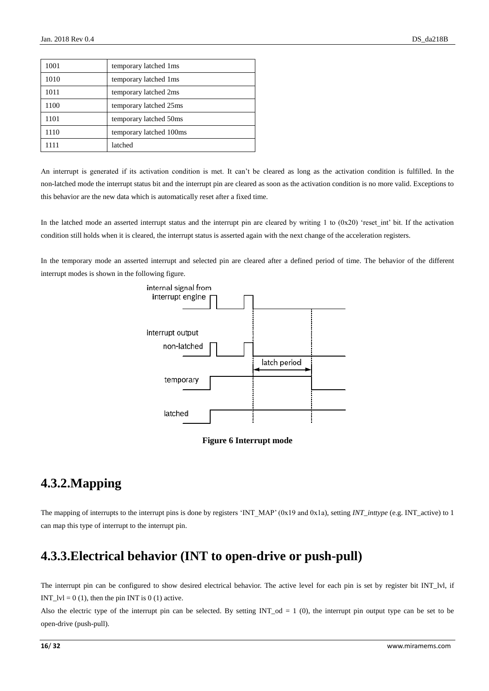| 1001 | temporary latched 1ms   |
|------|-------------------------|
| 1010 | temporary latched 1ms   |
| 1011 | temporary latched 2ms   |
| 1100 | temporary latched 25ms  |
| 1101 | temporary latched 50ms  |
| 1110 | temporary latched 100ms |
| 1111 | latched                 |

An interrupt is generated if its activation condition is met. It can't be cleared as long as the activation condition is fulfilled. In the non-latched mode the interrupt status bit and the interrupt pin are cleared as soon as the activation condition is no more valid. Exceptions to this behavior are the new data which is automatically reset after a fixed time.

In the latched mode an asserted interrupt status and the interrupt pin are cleared by writing 1 to  $(0x20)$  'reset int' bit. If the activation condition still holds when it is cleared, the interrupt status is asserted again with the next change of the acceleration registers.

In the temporary mode an asserted interrupt and selected pin are cleared after a defined period of time. The behavior of the different interrupt modes is shown in the following figure.





### <span id="page-15-2"></span><span id="page-15-0"></span>**4.3.2.Mapping**

The mapping of interrupts to the interrupt pins is done by registers 'INT\_MAP' (0x19 and 0x1a), setting *INT\_inttype* (e.g. INT\_active) to 1 can map this type of interrupt to the interrupt pin.

### <span id="page-15-1"></span>**4.3.3.Electrical behavior (INT to open-drive or push-pull)**

The interrupt pin can be configured to show desired electrical behavior. The active level for each pin is set by register bit INT\_lvl, if INT  $|V| = 0 (1)$ , then the pin INT is 0 (1) active.

Also the electric type of the interrupt pin can be selected. By setting  $INT\_od = 1$  (0), the interrupt pin output type can be set to be open-drive (push-pull).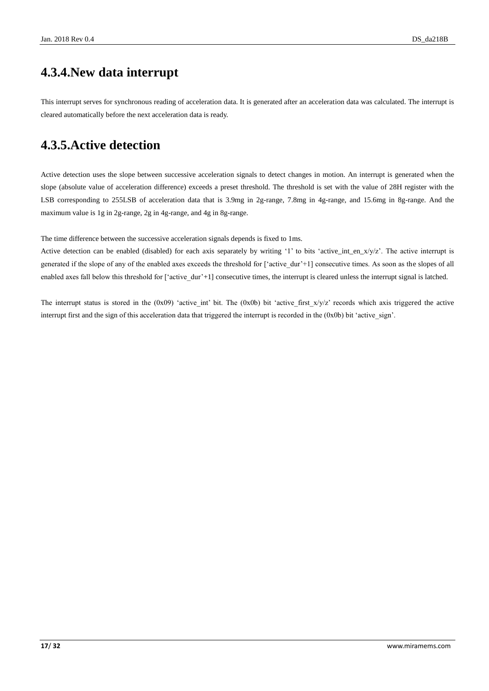### <span id="page-16-0"></span>**4.3.4.New data interrupt**

This interrupt serves for synchronous reading of acceleration data. It is generated after an acceleration data was calculated. The interrupt is cleared automatically before the next acceleration data is ready.

### <span id="page-16-1"></span>**4.3.5.Active detection**

Active detection uses the slope between successive acceleration signals to detect changes in motion. An interrupt is generated when the slope (absolute value of acceleration difference) exceeds a preset threshold. The threshold is set with the value of 28H register with the LSB corresponding to 255LSB of acceleration data that is 3.9mg in 2g-range, 7.8mg in 4g-range, and 15.6mg in 8g-range. And the maximum value is 1g in 2g-range, 2g in 4g-range, and 4g in 8g-range.

The time difference between the successive acceleration signals depends is fixed to 1ms.

Active detection can be enabled (disabled) for each axis separately by writing '1' to bits 'active\_int\_en\_x/y/z'. The active interrupt is generated if the slope of any of the enabled axes exceeds the threshold for ['active\_dur'+1] consecutive times. As soon as the slopes of all enabled axes fall below this threshold for ['active\_dur'+1] consecutive times, the interrupt is cleared unless the interrupt signal is latched.

The interrupt status is stored in the  $(0x09)$  'active int' bit. The  $(0x0b)$  bit 'active first  $x/y/z$ ' records which axis triggered the active interrupt first and the sign of this acceleration data that triggered the interrupt is recorded in the  $(0x0b)$  bit 'active sign'.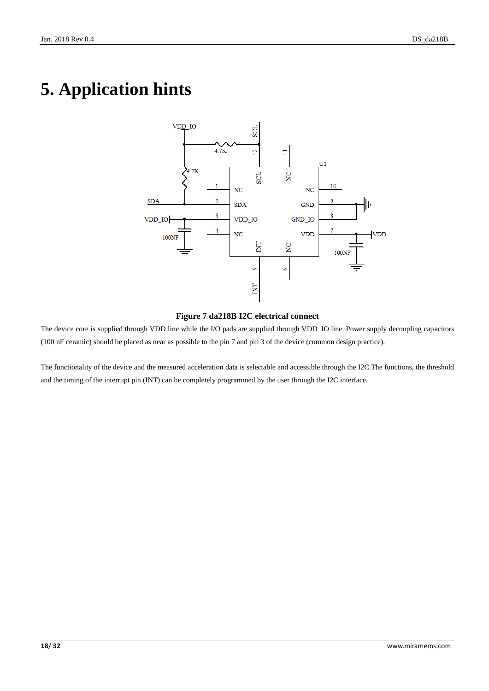# <span id="page-17-0"></span>**5. Application hints**



### **Figure 7 da218B I2C electrical connect**

<span id="page-17-1"></span>The device core is supplied through VDD line while the I/O pads are supplied through VDD\_IO line. Power supply decoupling capacitors (100 nF ceramic) should be placed as near as possible to the pin 7 and pin 3 of the device (common design practice).

The functionality of the device and the measured acceleration data is selectable and accessible through the I2C.The functions, the threshold and the timing of the interrupt pin (INT) can be completely programmed by the user through the I2C interface.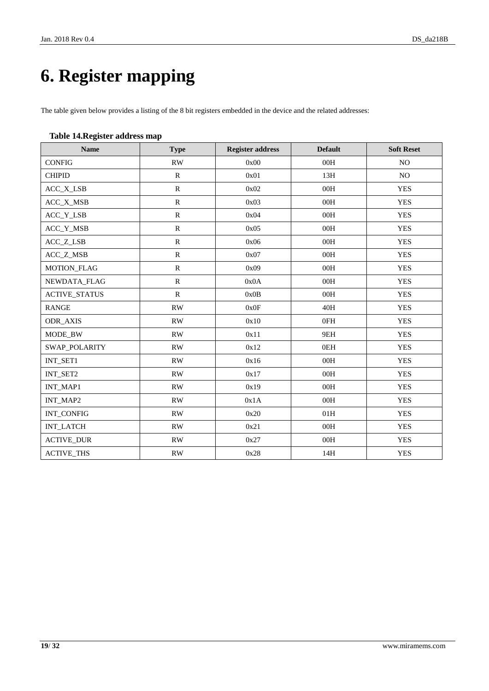# <span id="page-18-0"></span>**6. Register mapping**

The table given below provides a listing of the 8 bit registers embedded in the device and the related addresses:

### <span id="page-18-1"></span>**Table 14.Register address map**

| <b>Name</b>          | <b>Type</b>            | <b>Register address</b> | <b>Default</b> | <b>Soft Reset</b> |
|----------------------|------------------------|-------------------------|----------------|-------------------|
| <b>CONFIG</b>        | RW                     | 0x00                    | 00H            | NO.               |
| <b>CHIPID</b>        | $\mathbf R$            | 0x01                    | 13H            | $\rm NO$          |
| ACC_X_LSB            | ${\bf R}$              | 0x02                    | 00H            | <b>YES</b>        |
| ACC_X_MSB            | ${\bf R}$              | 0x03                    | 00H            | <b>YES</b>        |
| ACC_Y_LSB            | ${\bf R}$              | 0x04                    | 00H            | <b>YES</b>        |
| ACC_Y_MSB            | ${\bf R}$              | 0x05                    | 00H            | <b>YES</b>        |
| ACC_Z_LSB            | ${\bf R}$              | 0x06                    | 00H            | <b>YES</b>        |
| ACC_Z_MSB            | ${\bf R}$              | 0x07                    | 00H            | <b>YES</b>        |
| MOTION_FLAG          | $\mathbb{R}$           | 0x09                    | 00H            | <b>YES</b>        |
| NEWDATA_FLAG         | ${\bf R}$              | 0x0A                    | 00H            | <b>YES</b>        |
| <b>ACTIVE_STATUS</b> | ${\bf R}$              | 0x0B                    | 00H            | <b>YES</b>        |
| <b>RANGE</b>         | RW                     | 0x0F                    | 40H            | <b>YES</b>        |
| ODR_AXIS             | $\mathbf{R}\mathbf{W}$ | 0x10                    | 0FH            | <b>YES</b>        |
| MODE_BW              | RW                     | 0x11                    | 9EH            | <b>YES</b>        |
| <b>SWAP_POLARITY</b> | <b>RW</b>              | 0x12                    | 0EH            | <b>YES</b>        |
| INT_SET1             | $\mathbf{R}\mathbf{W}$ | 0x16                    | 00H            | <b>YES</b>        |
| INT_SET2             | RW                     | 0x17                    | 00H            | <b>YES</b>        |
| INT_MAP1             | $\mathbf{R}\mathbf{W}$ | 0x19                    | 00H            | <b>YES</b>        |
| INT_MAP2             | RW                     | 0x1A                    | 00H            | <b>YES</b>        |
| INT_CONFIG           | RW                     | 0x20                    | 01H            | <b>YES</b>        |
| <b>INT_LATCH</b>     | $\mathbf{R}\mathbf{W}$ | 0x21                    | 00H            | <b>YES</b>        |
| <b>ACTIVE_DUR</b>    | $\mathbf{R}\mathbf{W}$ | 0x27                    | 00H            | <b>YES</b>        |
| <b>ACTIVE_THS</b>    | RW                     | 0x28                    | 14H            | <b>YES</b>        |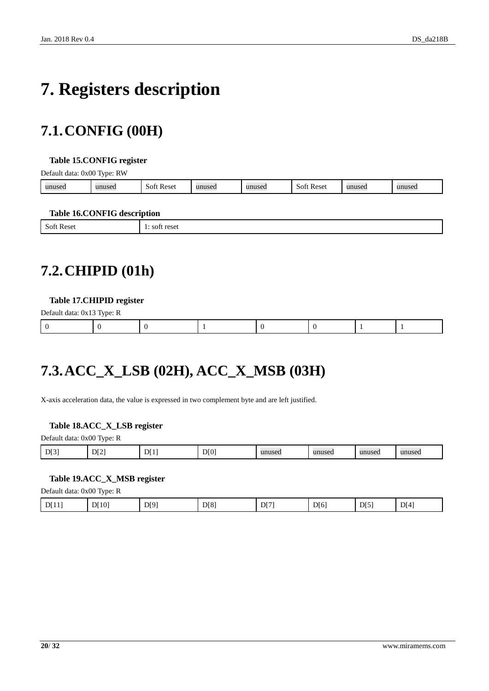# <span id="page-19-0"></span>**7. Registers description**

## <span id="page-19-1"></span>**7.1.CONFIG (00H)**

#### <span id="page-19-4"></span>**Table 15.CONFIG register**

Default data: 0x00 Type: RW

| unused | 11111000<br>usec | Reset<br>-SOF | $\mathbf{u}\mathbf{n}\mathbf{u}\mathbf{c}\mathbf{a}$<br>пизел | unused | Reset<br>SOT | าusec | . |
|--------|------------------|---------------|---------------------------------------------------------------|--------|--------------|-------|---|
|        |                  |               |                                                               |        |              |       |   |

#### <span id="page-19-5"></span>**Table 16.CONFIG description**

|                                                   | -                                                |
|---------------------------------------------------|--------------------------------------------------|
| $\mathbf{C}$<br>Soft<br>* Rese.<br>້<br>--------- | rocot<br><b>102</b><br><b>LESEL</b><br>--------- |
|                                                   |                                                  |

## <span id="page-19-2"></span>**7.2.CHIPID (01h)**

#### <span id="page-19-6"></span>**Table 17.CHIPID register**

| Default data: 0x13 Type: R |  |  |  |  |
|----------------------------|--|--|--|--|
|                            |  |  |  |  |

## <span id="page-19-3"></span>**7.3.ACC\_X\_LSB (02H), ACC\_X\_MSB (03H)**

X-axis acceleration data, the value is expressed in two complement byte and are left justified.

#### <span id="page-19-7"></span>**Table 18.ACC\_X\_LSB register**

| DI3<br>$DI^{\dagger}$<br>D[0]<br>DI2<br>unused<br>unuseo<br>1111162d<br>unused<br>anusca |
|------------------------------------------------------------------------------------------|
|------------------------------------------------------------------------------------------|

### <span id="page-19-8"></span>**Table 19.ACC\_X\_MSB register**

Default data: 0x00 Type: R

| D[10]<br>D[5]<br>DI4<br>D[9]<br>DI8'<br>DI7<br>D[6]<br>DI11<br>.<br>$\mathbf{r}$ and $\mathbf{r}$ and $\mathbf{r}$ and $\mathbf{r}$ |
|-------------------------------------------------------------------------------------------------------------------------------------|
|-------------------------------------------------------------------------------------------------------------------------------------|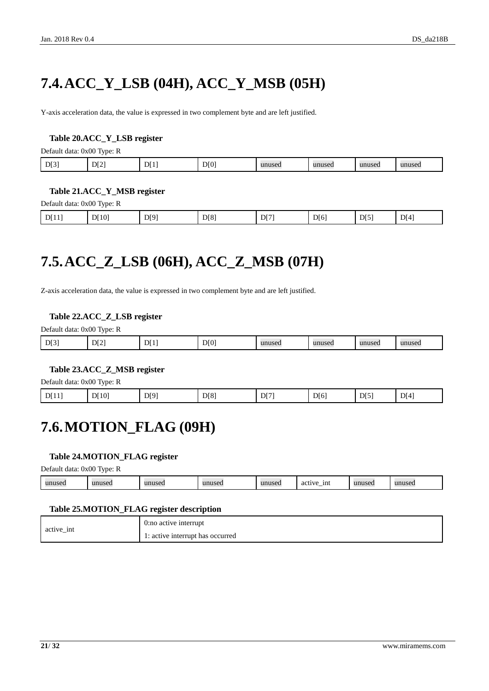# <span id="page-20-0"></span>**7.4.ACC\_Y\_LSB (04H), ACC\_Y\_MSB (05H)**

Y-axis acceleration data, the value is expressed in two complement byte and are left justified.

### <span id="page-20-3"></span>**Table 20.ACC\_Y\_LSB register**

Default data: 0x00 Type: R

| DT31<br>DI21<br>DI()<br>DI1<br>unused<br>unused<br>unused<br>unused |
|---------------------------------------------------------------------|
|---------------------------------------------------------------------|

#### <span id="page-20-4"></span>**Table 21.ACC\_Y\_MSB register**

Default data: 0x00 Type: R

| D[10]<br>D[4]<br>D[8]<br>D[5]<br>D[11]<br>D[9]<br>D[7]<br>D[6]<br>. |
|---------------------------------------------------------------------|
|---------------------------------------------------------------------|

## <span id="page-20-1"></span>**7.5.ACC\_Z\_LSB (06H), ACC\_Z\_MSB (07H)**

Z-axis acceleration data, the value is expressed in two complement byte and are left justified.

#### <span id="page-20-5"></span>**Table 22.ACC\_Z\_LSB register**

Default data: 0x00 Type: R

| D[3] | DI2 | DI1 | DI0 | unused | unused | unused | unused |
|------|-----|-----|-----|--------|--------|--------|--------|
|      |     |     |     |        |        |        |        |

### <span id="page-20-6"></span>**Table 23.ACC\_Z\_MSB register**

Default data: 0x00 Type: R

<span id="page-20-2"></span>

| D[9]<br>DT8<br>DI4<br>D[10]<br>D <sub>[1</sub><br>D[5]<br>$\mathbf{r}$<br>D[6]<br>DJ 111<br>. . |
|-------------------------------------------------------------------------------------------------|
|-------------------------------------------------------------------------------------------------|

### **7.6.MOTION\_FLAG (09H)**

### <span id="page-20-7"></span>**Table 24.MOTION\_FLAG register**

Default data: 0x00 Type: R

| 31011000<br>- 1nt<br>unused<br>unuseo<br>$\eta$ nnusc $\sim$<br>$\cdots$<br>33331004<br>$-$ act <sup>1</sup><br>uset.<br>$\sim$<br>. L<br>$\cdots$<br>$\cdots$ |
|----------------------------------------------------------------------------------------------------------------------------------------------------------------|
|----------------------------------------------------------------------------------------------------------------------------------------------------------------|

#### <span id="page-20-8"></span>**Table 25.MOTION\_FLAG register description**

| active int | 0:no active interrupt            |
|------------|----------------------------------|
|            | 1: active interrupt has occurred |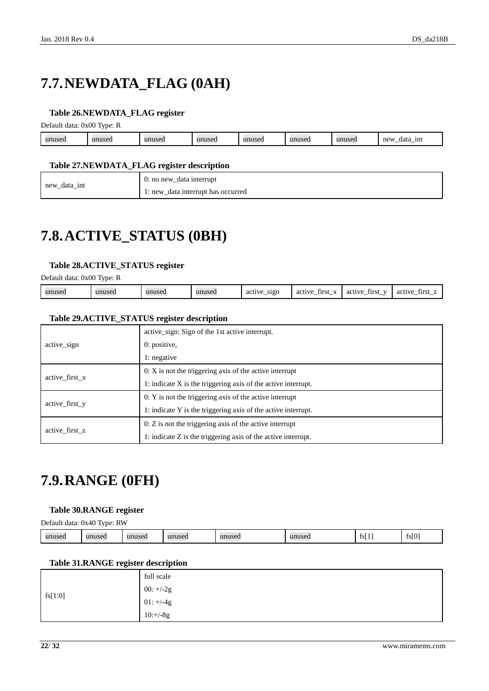# <span id="page-21-0"></span>**7.7.NEWDATA\_FLAG (0AH)**

### <span id="page-21-3"></span>**Table 26.NEWDATA\_FLAG register**

Default data: 0x00 Type: R

| unused | $\mathbf{u}$<br>useu | 1011000<br>14560 | unusea | unused | unused | 1111100<br>unuset. | new<br>1nt<br>data<br><u>_</u> |
|--------|----------------------|------------------|--------|--------|--------|--------------------|--------------------------------|
|        |                      |                  |        |        |        |                    |                                |

#### <span id="page-21-4"></span>**Table 27.NEWDATA\_FLAG register description**

|           | data interrupt<br>$0:$ no new |
|-----------|-------------------------------|
| _data_int | data interrupt has occurred   |
| new       | : new                         |

### <span id="page-21-1"></span>**7.8.ACTIVE\_STATUS (0BH)**

### <span id="page-21-5"></span>**Table 28.ACTIVE\_STATUS register**

Default data: 0x00 Type: R

| S1QD<br>unused<br>$ -$<br>unused<br>active<br>first<br>active<br>active<br>tırst<br><b>first</b><br>unuseo<br>unused<br>active<br>аcт<br>$\overline{\phantom{a}}$<br>$\overline{\phantom{a}}$<br>--<br>- |
|----------------------------------------------------------------------------------------------------------------------------------------------------------------------------------------------------------|
|----------------------------------------------------------------------------------------------------------------------------------------------------------------------------------------------------------|

### <span id="page-21-6"></span>**Table 29.ACTIVE\_STATUS register description**

|                | active sign: Sign of the 1st active interrupt.                  |  |  |  |  |  |
|----------------|-----------------------------------------------------------------|--|--|--|--|--|
| active sign    | $0:$ positive,                                                  |  |  |  |  |  |
|                | 1: negative                                                     |  |  |  |  |  |
| active first x | $0: X$ is not the triggering axis of the active interrupt       |  |  |  |  |  |
|                | 1: indicate $X$ is the triggering axis of the active interrupt. |  |  |  |  |  |
| active first y | $0: Y$ is not the triggering axis of the active interrupt       |  |  |  |  |  |
|                | 1: indicate Y is the triggering axis of the active interrupt.   |  |  |  |  |  |
|                | $0: Z$ is not the triggering axis of the active interrupt       |  |  |  |  |  |
| active first z | 1: indicate Z is the triggering axis of the active interrupt.   |  |  |  |  |  |

### <span id="page-21-2"></span>**7.9.RANGE (0FH)**

#### <span id="page-21-7"></span>**Table 30.RANGE register**

Default data: 0x40 Type: RW

| unused<br>unusea<br>unused | 111111<br>$\Omega$<br>unuset. | unuseo | 11111000<br>u sea | <b>.</b><br>ISI 1 | fs[0] |
|----------------------------|-------------------------------|--------|-------------------|-------------------|-------|
|----------------------------|-------------------------------|--------|-------------------|-------------------|-------|

### <span id="page-21-8"></span>**Table 31.RANGE register description**

|         | full scale  |
|---------|-------------|
|         | 00: $+/-2g$ |
| fs[1:0] | $01: +/-4g$ |
|         | $10:+/8g$   |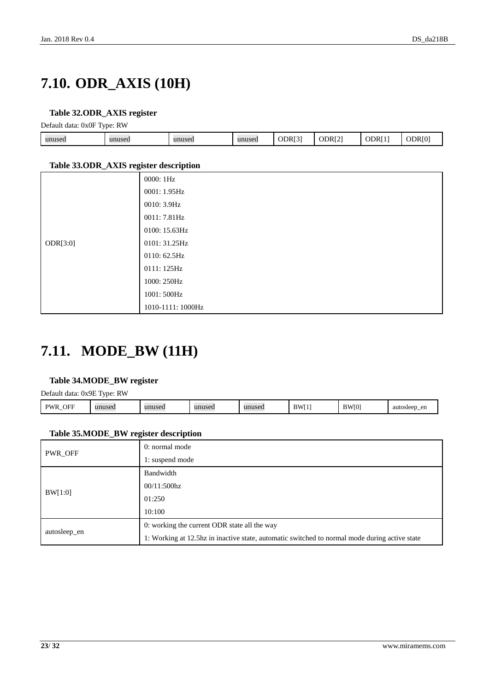## <span id="page-22-0"></span>**7.10. ODR\_AXIS (10H)**

### <span id="page-22-2"></span>**Table 32.ODR\_AXIS register**

Default data: 0x0F Type: RW

| - -    |        |        |        |        |                    |     |   |
|--------|--------|--------|--------|--------|--------------------|-----|---|
| unused | unused | unused | unused | ODR[3] | ODR <sub>[2]</sub> | ODR | ж |
|        |        |        |        |        |                    |     |   |

#### <span id="page-22-3"></span>**Table 33.ODR\_AXIS register description**

| ັ        | 0000: 1Hz         |
|----------|-------------------|
|          | 0001: 1.95Hz      |
|          | 0010: 3.9Hz       |
|          | 0011: 7.81Hz      |
|          | 0100: 15.63Hz     |
| ODR[3:0] | 0101: 31.25Hz     |
|          | 0110: 62.5Hz      |
|          | 0111: 125Hz       |
|          | 1000: 250Hz       |
|          | 1001: 500Hz       |
|          | 1010-1111: 1000Hz |

### <span id="page-22-1"></span>**7.11. MODE\_BW (11H)**

### <span id="page-22-4"></span>**Table 34.MODE\_BW register**

Default data: 0x9E Type: RW

| OFF<br>DW <sub>L</sub><br>.711<br>- | unused | unusea | unused | unused | <b>BWI</b><br>., | $\overline{1}$<br>- 181 | auto<br>en<br>$H\alpha\alpha r$<br>,,,,,,,,,<br>.<br> |
|-------------------------------------|--------|--------|--------|--------|------------------|-------------------------|-------------------------------------------------------|
|                                     |        |        |        |        |                  |                         |                                                       |

### <span id="page-22-5"></span>**Table 35.MODE\_BW register description**

| PWR_OFF      | 0: normal mode                                                                                |  |  |  |  |
|--------------|-----------------------------------------------------------------------------------------------|--|--|--|--|
|              | 1: suspend mode                                                                               |  |  |  |  |
|              | Bandwidth                                                                                     |  |  |  |  |
| BW[1:0]      | $00/11:500\text{hz}$                                                                          |  |  |  |  |
|              | 01:250                                                                                        |  |  |  |  |
|              | 10:100                                                                                        |  |  |  |  |
|              | 0: working the current ODR state all the way                                                  |  |  |  |  |
| autosleep_en | 1: Working at 12.5hz in inactive state, automatic switched to normal mode during active state |  |  |  |  |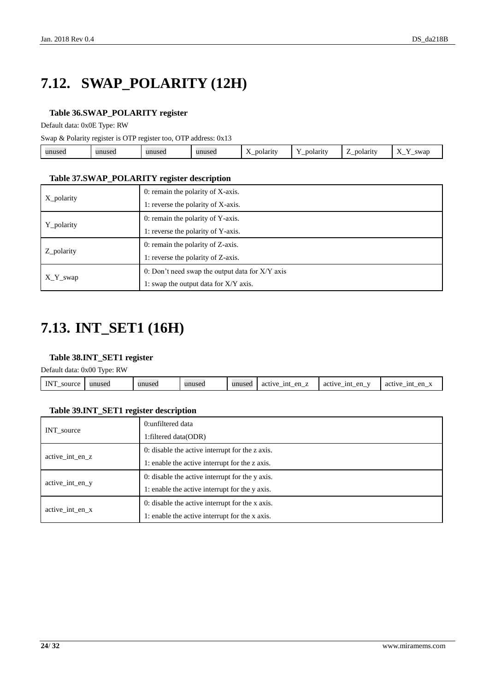# <span id="page-23-0"></span>**7.12. SWAP\_POLARITY (12H)**

### <span id="page-23-2"></span>**Table 36.SWAP\_POLARITY register**

Default data: 0x0E Type: RW

Swap & Polarity register is OTP register too, OTP address: 0x13

| $\mathbf{v}$<br>polarity<br>swar<br>unused<br>unused<br>oolarit<br>unusea<br>.Jarity -<br>unused<br>ruscu<br>$\overline{1}$<br>-<br><u>—</u><br>_<br>_ |
|--------------------------------------------------------------------------------------------------------------------------------------------------------|
|--------------------------------------------------------------------------------------------------------------------------------------------------------|

#### <span id="page-23-3"></span>**Table 37.SWAP\_POLARITY register description**

| X polarity | 0: remain the polarity of X-axis.                 |
|------------|---------------------------------------------------|
|            | 1: reverse the polarity of X-axis.                |
|            | 0: remain the polarity of Y-axis.                 |
| Y_polarity | 1: reverse the polarity of Y-axis.                |
|            | 0: remain the polarity of Z-axis.                 |
| Z_polarity | 1: reverse the polarity of Z-axis.                |
|            | 0: Don't need swap the output data for $X/Y$ axis |
| $X_Y$ swap | 1: swap the output data for X/Y axis.             |

## <span id="page-23-1"></span>**7.13. INT\_SET1 (16H)**

### <span id="page-23-4"></span>**Table 38.INT\_SET1 register**

Default data: 0x00 Type: RW

|                      | _______ |        |        |        |                                    |                     |                                       |
|----------------------|---------|--------|--------|--------|------------------------------------|---------------------|---------------------------------------|
| <b>INT</b><br>source | unused  | unused | unused | unused | en<br>1nt<br>active<br>-___<br>$-$ | en<br>active<br>1nt | en<br>1nt<br>active<br>$\cdot$<br>. — |
|                      |         |        |        |        |                                    |                     |                                       |

### <span id="page-23-5"></span>**Table 39.INT\_SET1 register description**

|                 | 0:unfiltered data                               |  |  |  |  |  |
|-----------------|-------------------------------------------------|--|--|--|--|--|
| INT_source      | 1: filtered data (ODR)                          |  |  |  |  |  |
| active int en z | 0: disable the active interrupt for the z axis. |  |  |  |  |  |
|                 | 1: enable the active interrupt for the z axis.  |  |  |  |  |  |
|                 | 0: disable the active interrupt for the y axis. |  |  |  |  |  |
| active int en y | 1: enable the active interrupt for the y axis.  |  |  |  |  |  |
| active int en x | 0: disable the active interrupt for the x axis. |  |  |  |  |  |
|                 | 1: enable the active interrupt for the x axis.  |  |  |  |  |  |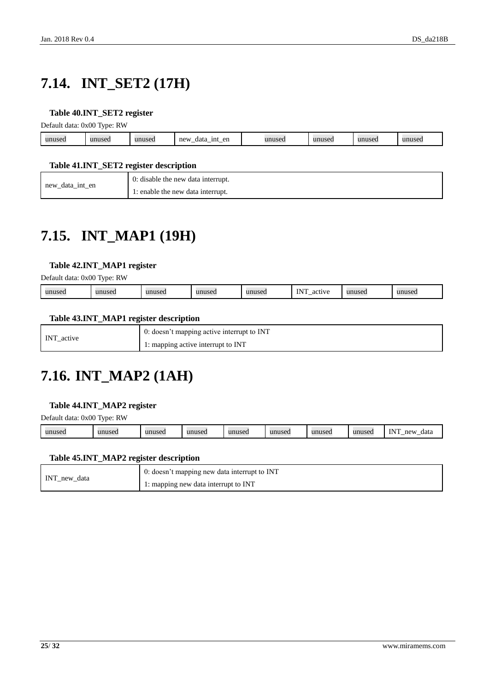# <span id="page-24-0"></span>**7.14. INT\_SET2 (17H)**

### <span id="page-24-3"></span>**Table 40.INT\_SET2 register**

Default data: 0x00 Type: RW

|        | . .          |        |                                             |          |                                   |              |
|--------|--------------|--------|---------------------------------------------|----------|-----------------------------------|--------------|
| unused | $\mathbf{u}$ | unused | en<br>new<br>1nt<br>data<br><u>_</u><br>$-$ | 1111100t | 1111100<br><b><i>FILLS</i>CL.</b> | 1100<br>wuse |
|        |              |        |                                             |          |                                   |              |

### <span id="page-24-4"></span>**Table 41.INT\_SET2 register description**

| new data int en | 0: disable the new data interrupt. |
|-----------------|------------------------------------|
|                 | 1: enable the new data interrupt.  |

## <span id="page-24-1"></span>**7.15. INT\_MAP1 (19H)**

### <span id="page-24-5"></span>**Table 42.INT\_MAP1 register**

Default data: 0x00 Type: RW

| $N^{\prime}$<br>unuse.<br>1111100<br>unuse<br>0.01117<br>3.3.45<br>a<br>wa<br>$\cdots$<br>--<br>.<br>$\sim$ $\sim$ |
|--------------------------------------------------------------------------------------------------------------------|
|--------------------------------------------------------------------------------------------------------------------|

### <span id="page-24-6"></span>**Table 43.INT\_MAP1 register description**

| INT active | $\blacksquare$ 0: doesn't mapping active interrupt to INT |
|------------|-----------------------------------------------------------|
|            | 1: mapping active interrupt to INT                        |

### <span id="page-24-2"></span>**7.16. INT\_MAP2 (1AH)**

#### <span id="page-24-7"></span>**Table 44.INT\_MAP2 register**

Default data: 0x00 Type: RW

| <b>TNIT</b><br>unused<br>unused<br>unused<br>unused<br>mne<br>new<br>unused<br>unusec<br>1113<br>data<br>musec<br><br> |
|------------------------------------------------------------------------------------------------------------------------|
|------------------------------------------------------------------------------------------------------------------------|

#### <span id="page-24-8"></span>**Table 45.INT\_MAP2 register description**

| INT_new_data | $\overline{0}$ : doesn't mapping new data interrupt to INT |
|--------------|------------------------------------------------------------|
|              | 1: mapping new data interrupt to INT                       |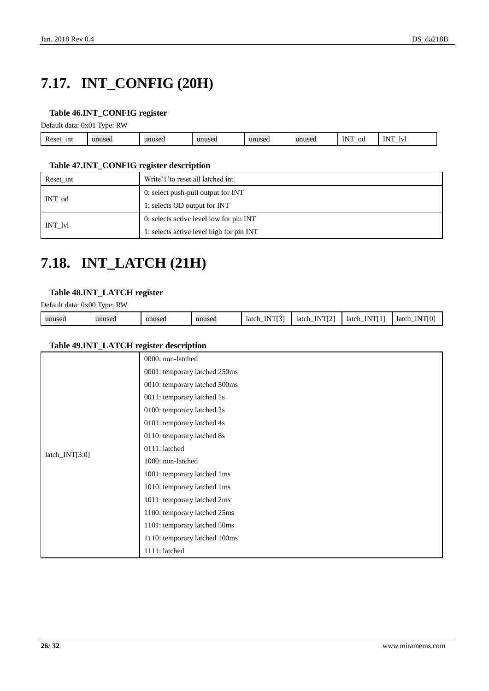# <span id="page-25-0"></span>**7.17. INT\_CONFIG (20H)**

### <span id="page-25-2"></span>**Table 46.INT\_CONFIG register**

Default data: 0x01 Type: RW

| <b>D</b><br>1nt<br>Reset_1 | musea | unused | unused | nusea - | 111100<br>use | -- --<br>$\alpha$ | <b>INT</b><br>IV. |  |
|----------------------------|-------|--------|--------|---------|---------------|-------------------|-------------------|--|
|                            |       |        |        |         |               |                   |                   |  |

### <span id="page-25-3"></span>**Table 47.INT\_CONFIG register description**

| Reset int | Write'1' to reset all latched int.       |  |  |  |
|-----------|------------------------------------------|--|--|--|
| INT od    | 0: select push-pull output for INT       |  |  |  |
|           | 1: selects OD output for INT             |  |  |  |
|           | 0: selects active level low for pin INT  |  |  |  |
| INT lvl   | 1: selects active level high for pin INT |  |  |  |

### <span id="page-25-1"></span>**7.18. INT\_LATCH (21H)**

### <span id="page-25-4"></span>**Table 48.INT\_LATCH register**

Default data: 0x00 Type: RW

| unused | unused | unused | unused | <b>TAIRDEAT</b><br>N<br>latch<br>-------_- | TNTPCTA<br>ΙN<br>latch<br>$\overline{\phantom{0}}$ | VTI 11<br>latch<br><br>. | <b>INTIO</b><br>latch<br>. |
|--------|--------|--------|--------|--------------------------------------------|----------------------------------------------------|--------------------------|----------------------------|

### <span id="page-25-5"></span>**Table 49.INT\_LATCH register description**

|                  | 0000: non-latched             |
|------------------|-------------------------------|
|                  | 0001: temporary latched 250ms |
|                  | 0010: temporary latched 500ms |
|                  | 0011: temporary latched 1s    |
|                  | 0100: temporary latched 2s    |
|                  | 0101: temporary latched 4s    |
|                  | 0110: temporary latched 8s    |
|                  | 0111: latched                 |
| $latch_NTT[3:0]$ | 1000: non-latched             |
|                  | 1001: temporary latched 1ms   |
|                  | 1010: temporary latched 1ms   |
|                  | 1011: temporary latched 2ms   |
|                  | 1100: temporary latched 25ms  |
|                  | 1101: temporary latched 50ms  |
|                  | 1110: temporary latched 100ms |
|                  | 1111: latched                 |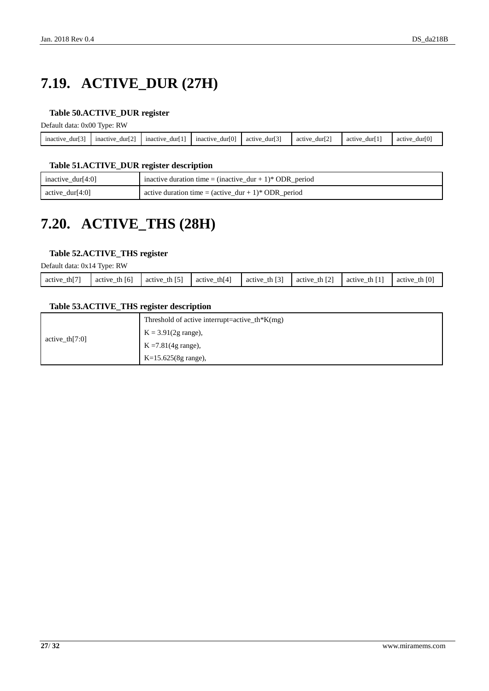# <span id="page-26-0"></span>**7.19. ACTIVE\_DUR (27H)**

### <span id="page-26-2"></span>**Table 50.ACTIVE\_DUR register**

Default data: 0x00 Type: RW

| - -<br>inactive<br>dur'<br>$\overline{\phantom{a}}$ | <b>EA3</b><br>mactive<br>durl 2<br>$\overline{\phantom{a}}$ | .<br>mactive<br>dur'<br>$\overline{\phantom{a}}$ | dur[0]<br>mactive<br>- | ro 3<br>dur<br>active<br>$\overline{\phantom{a}}$ | ro:<br>dur12<br>activ<br>$\overline{\phantom{a}}$ | dur<br>active<br>$\overline{\phantom{a}}$ | ro <sup>x</sup><br>durll<br>activ<br>- |
|-----------------------------------------------------|-------------------------------------------------------------|--------------------------------------------------|------------------------|---------------------------------------------------|---------------------------------------------------|-------------------------------------------|----------------------------------------|
|                                                     |                                                             |                                                  |                        |                                                   |                                                   |                                           |                                        |

### <span id="page-26-3"></span>**Table 51.ACTIVE\_DUR register description**

| inactive_dur[4:0]   | inactive duration time = $(inactive\_dur + 1)*ODR\_period$              |
|---------------------|-------------------------------------------------------------------------|
| $\arctive_dur[4:0]$ | active duration time = $(\text{active\_dur} + 1)^* \text{ ODR\_period}$ |

## <span id="page-26-1"></span>**7.20. ACTIVE\_THS (28H)**

### <span id="page-26-4"></span>**Table 52.ACTIVE\_THS register**

Default data: 0x14 Type: RW

|                           | ___               |                    |                    |                                   |                             |                |                    |
|---------------------------|-------------------|--------------------|--------------------|-----------------------------------|-----------------------------|----------------|--------------------|
| $\sim$ th $[7]$<br>active | [6]<br>active the | th $[5]$<br>active | th $[4]$<br>active | $\lceil 3 \rceil$<br>active<br>th | $\sqrt{21}$<br>th<br>active | th I<br>active | th $[0]$<br>active |
|                           |                   |                    |                    |                                   |                             |                |                    |

### <span id="page-26-5"></span>**Table 53.ACTIVE\_THS register description**

|                   | Threshold of active interrupt=active_th*K(mg) |
|-------------------|-----------------------------------------------|
|                   | $K = 3.91(2g \text{ range})$ ,                |
| active th $[7:0]$ | $K = 7.81(4g \text{ range})$ ,                |
|                   | $K=15.625(8g \text{ range})$ ,                |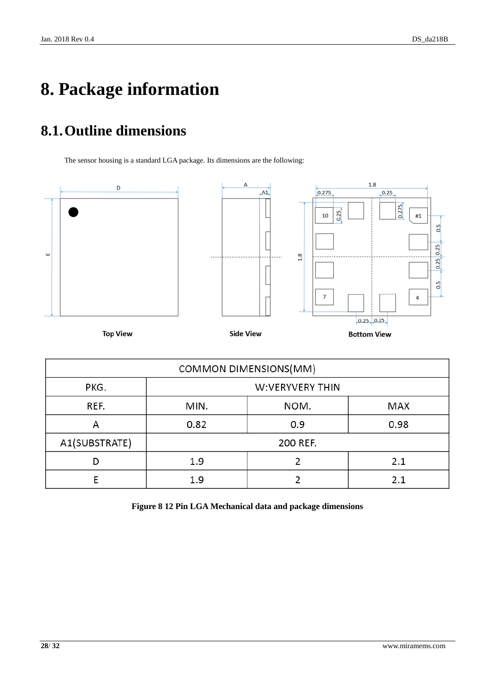# <span id="page-27-0"></span>**8. Package information**

# <span id="page-27-1"></span>**8.1.Outline dimensions**

The sensor housing is a standard LGA package. Its dimensions are the following:



| COMMON DIMENSIONS(MM) |                     |          |      |  |  |
|-----------------------|---------------------|----------|------|--|--|
| PKG.                  | W:VERYVERY THIN     |          |      |  |  |
| REF.                  | NOM.<br>MIN.<br>MAX |          |      |  |  |
| А                     | 0.82                | 0.9      | 0.98 |  |  |
| A1(SUBSTRATE)         |                     | 200 REF. |      |  |  |
|                       | 1.9                 |          | 2.1  |  |  |
|                       | 1.9                 |          | 2.1  |  |  |

<span id="page-27-2"></span>**Figure 8 12 Pin LGA Mechanical data and package dimensions**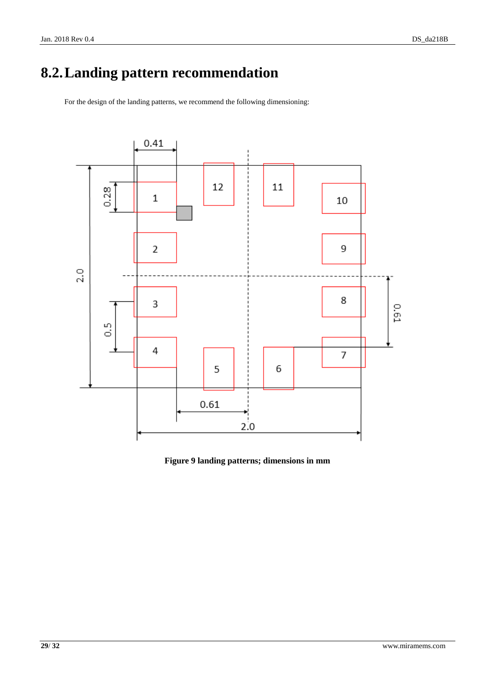# <span id="page-28-0"></span>**8.2.Landing pattern recommendation**

For the design of the landing patterns, we recommend the following dimensioning:



### <span id="page-28-1"></span>**Figure 9 landing patterns; dimensions in mm**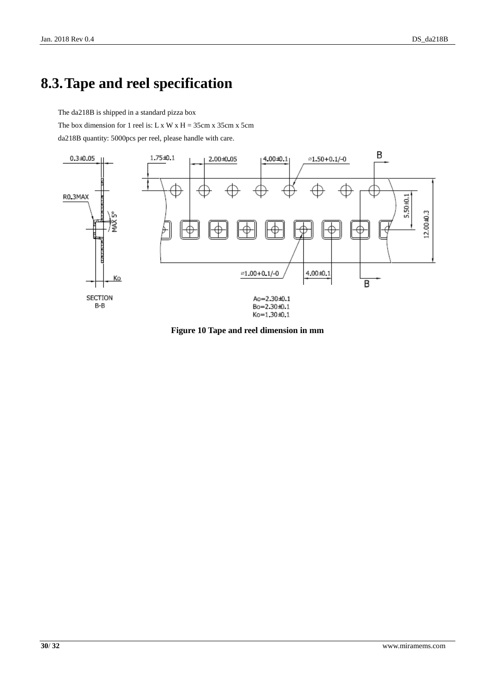### <span id="page-29-0"></span>**8.3.Tape and reel specification**

The da218B is shipped in a standard pizza box

The box dimension for 1 reel is: L x W x H =  $35cm x 35cm x 5cm$ 

da218B quantity: 5000pcs per reel, please handle with care.



<span id="page-29-1"></span>**Figure 10 Tape and reel dimension in mm**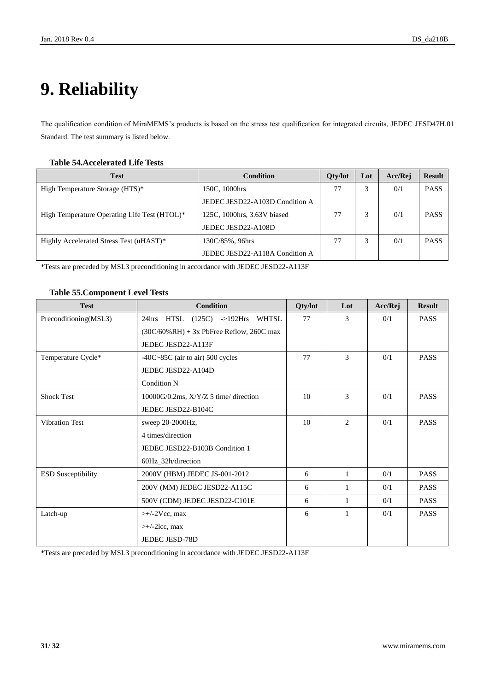# <span id="page-30-0"></span>**9. Reliability**

The qualification condition of MiraMEMS's products is based on the stress test qualification for integrated circuits, JEDEC JESD47H.01 Standard. The test summary is listed below.

#### <span id="page-30-1"></span>**Table 54.Accelerated Life Tests**

| <b>Test</b>                                  | Condition                      | <b>Oty/lot</b> | Lot | Acc/Rej | <b>Result</b> |
|----------------------------------------------|--------------------------------|----------------|-----|---------|---------------|
| High Temperature Storage (HTS)*              | 150C, 1000hrs                  | 77             |     | 0/1     | <b>PASS</b>   |
|                                              | JEDEC JESD22-A103D Condition A |                |     |         |               |
| High Temperature Operating Life Test (HTOL)* | 125C, 1000hrs, 3.63V biased    | 77             |     | 0/1     | <b>PASS</b>   |
|                                              | JEDEC JESD22-A108D             |                |     |         |               |
| Highly Accelerated Stress Test (uHAST)*      | 130C/85%, 96hrs                | 77             |     | 0/1     | <b>PASS</b>   |
|                                              | JEDEC JESD22-A118A Condition A |                |     |         |               |

\*Tests are preceded by MSL3 preconditioning in accordance with JEDEC JESD22-A113F

#### <span id="page-30-2"></span>**Table 55.Component Level Tests**

| <b>Test</b>               | <b>Condition</b>                             | Qty/lot | Lot          | Acc/Rej | <b>Result</b> |
|---------------------------|----------------------------------------------|---------|--------------|---------|---------------|
| Preconditioning(MSL3)     | 24hrs HTSL (125C) ->192Hrs WHTSL             | 77      | 3            | 0/1     | <b>PASS</b>   |
|                           | $(30C/60\% RH) + 3x$ PbFree Reflow, 260C max |         |              |         |               |
|                           | JEDEC JESD22-A113F                           |         |              |         |               |
| Temperature Cycle*        | $-40C-85C$ (air to air) 500 cycles           | 77      | 3            | 0/1     | <b>PASS</b>   |
|                           | JEDEC JESD22-A104D                           |         |              |         |               |
|                           | Condition N                                  |         |              |         |               |
| <b>Shock Test</b>         | $10000G/0.2ms$ , $X/Y/Z$ 5 time/ direction   | 10      | 3            | 0/1     | <b>PASS</b>   |
|                           | JEDEC JESD22-B104C                           |         |              |         |               |
| <b>Vibration Test</b>     | sweep 20-2000Hz,                             | 10      | 2            | 0/1     | <b>PASS</b>   |
|                           | 4 times/direction                            |         |              |         |               |
|                           | JEDEC JESD22-B103B Condition 1               |         |              |         |               |
|                           | 60Hz_32h/direction                           |         |              |         |               |
| <b>ESD Susceptibility</b> | 2000V (HBM) JEDEC JS-001-2012                | 6       | 1            | 0/1     | <b>PASS</b>   |
|                           | 200V (MM) JEDEC JESD22-A115C                 | 6       | 1            | 0/1     | <b>PASS</b>   |
|                           | 500V (CDM) JEDEC JESD22-C101E                | 6       | 1            | 0/1     | <b>PASS</b>   |
| Latch-up                  | $\rightarrow$ +/-2Vcc, max                   | 6       | $\mathbf{1}$ | 0/1     | <b>PASS</b>   |
|                           | $\rightarrow$ +/-2lcc, max                   |         |              |         |               |
|                           | <b>JEDEC JESD-78D</b>                        |         |              |         |               |

\*Tests are preceded by MSL3 preconditioning in accordance with JEDEC JESD22-A113F